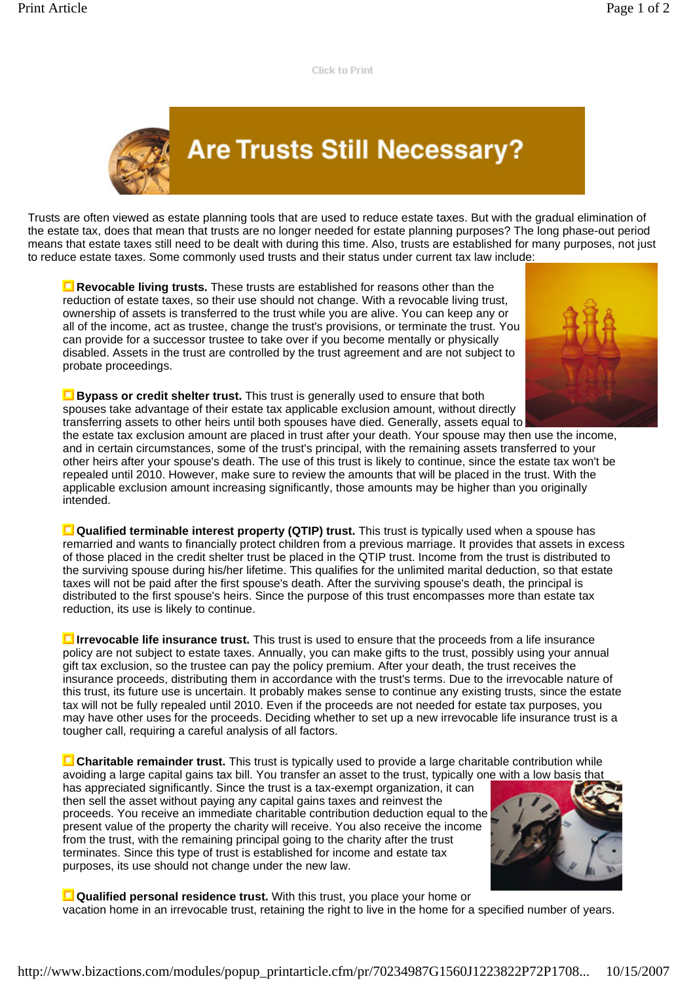**Click to Print** 

## **Are Trusts Still Necessary?**

Trusts are often viewed as estate planning tools that are used to reduce estate taxes. But with the gradual elimination of the estate tax, does that mean that trusts are no longer needed for estate planning purposes? The long phase-out period means that estate taxes still need to be dealt with during this time. Also, trusts are established for many purposes, not just to reduce estate taxes. Some commonly used trusts and their status under current tax law include:

**Revocable living trusts.** These trusts are established for reasons other than the reduction of estate taxes, so their use should not change. With a revocable living trust, ownership of assets is transferred to the trust while you are alive. You can keep any or all of the income, act as trustee, change the trust's provisions, or terminate the trust. You can provide for a successor trustee to take over if you become mentally or physically disabled. Assets in the trust are controlled by the trust agreement and are not subject to probate proceedings.



**Bypass or credit shelter trust.** This trust is generally used to ensure that both spouses take advantage of their estate tax applicable exclusion amount, without directly transferring assets to other heirs until both spouses have died. Generally, assets equal to

the estate tax exclusion amount are placed in trust after your death. Your spouse may then use the income, and in certain circumstances, some of the trust's principal, with the remaining assets transferred to your other heirs after your spouse's death. The use of this trust is likely to continue, since the estate tax won't be repealed until 2010. However, make sure to review the amounts that will be placed in the trust. With the applicable exclusion amount increasing significantly, those amounts may be higher than you originally intended.

**Qualified terminable interest property (QTIP) trust.** This trust is typically used when a spouse has remarried and wants to financially protect children from a previous marriage. It provides that assets in excess of those placed in the credit shelter trust be placed in the QTIP trust. Income from the trust is distributed to the surviving spouse during his/her lifetime. This qualifies for the unlimited marital deduction, so that estate taxes will not be paid after the first spouse's death. After the surviving spouse's death, the principal is distributed to the first spouse's heirs. Since the purpose of this trust encompasses more than estate tax reduction, its use is likely to continue.

**Irrevocable life insurance trust.** This trust is used to ensure that the proceeds from a life insurance policy are not subject to estate taxes. Annually, you can make gifts to the trust, possibly using your annual gift tax exclusion, so the trustee can pay the policy premium. After your death, the trust receives the insurance proceeds, distributing them in accordance with the trust's terms. Due to the irrevocable nature of this trust, its future use is uncertain. It probably makes sense to continue any existing trusts, since the estate tax will not be fully repealed until 2010. Even if the proceeds are not needed for estate tax purposes, you may have other uses for the proceeds. Deciding whether to set up a new irrevocable life insurance trust is a tougher call, requiring a careful analysis of all factors.

**Charitable remainder trust.** This trust is typically used to provide a large charitable contribution while avoiding a large capital gains tax bill. You transfer an asset to the trust, typically one with a low basis that

has appreciated significantly. Since the trust is a tax-exempt organization, it can then sell the asset without paying any capital gains taxes and reinvest the proceeds. You receive an immediate charitable contribution deduction equal to the present value of the property the charity will receive. You also receive the income from the trust, with the remaining principal going to the charity after the trust terminates. Since this type of trust is established for income and estate tax purposes, its use should not change under the new law.



**Qualified personal residence trust.** With this trust, you place your home or vacation home in an irrevocable trust, retaining the right to live in the home for a specified number of years.